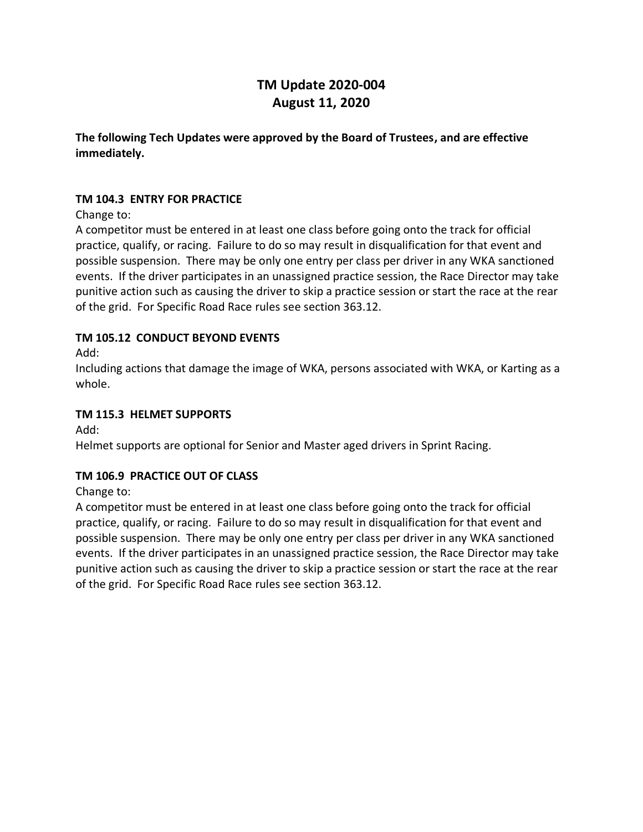# **TM Update 2020-004 August 11, 2020**

**The following Tech Updates were approved by the Board of Trustees, and are effective immediately.**

#### **TM 104.3 ENTRY FOR PRACTICE**

Change to:

A competitor must be entered in at least one class before going onto the track for official practice, qualify, or racing. Failure to do so may result in disqualification for that event and possible suspension. There may be only one entry per class per driver in any WKA sanctioned events. If the driver participates in an unassigned practice session, the Race Director may take punitive action such as causing the driver to skip a practice session or start the race at the rear of the grid. For Specific Road Race rules see section 363.12.

#### **TM 105.12 CONDUCT BEYOND EVENTS**

Add:

Including actions that damage the image of WKA, persons associated with WKA, or Karting as a whole.

#### **TM 115.3 HELMET SUPPORTS**

Add:

Helmet supports are optional for Senior and Master aged drivers in Sprint Racing.

#### **TM 106.9 PRACTICE OUT OF CLASS**

Change to:

A competitor must be entered in at least one class before going onto the track for official practice, qualify, or racing. Failure to do so may result in disqualification for that event and possible suspension. There may be only one entry per class per driver in any WKA sanctioned events. If the driver participates in an unassigned practice session, the Race Director may take punitive action such as causing the driver to skip a practice session or start the race at the rear of the grid. For Specific Road Race rules see section 363.12.